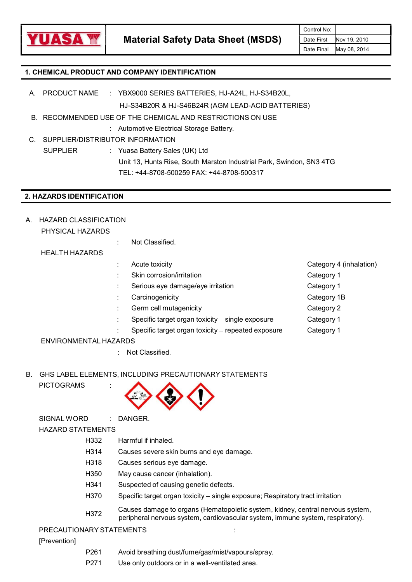

## 1. CHEMICAL PRODUCT AND COMPANY IDENTIFICATION

- HJ-S34B20R & HJ-S46B24R (AGM LEAD-ACID BATTERIES) A. PRODUCT NAME : YBX9000 SERIES BATTERIES HJ-A24L, HJ-S34B20L,
- B. RECOMMENDED USE OF THE CHEMICAL AND RESTRICTIONS ON USE
	-
- : Automotive Electrical Storage Battery.<br>C. SUPPLIER/DISTRIBUTOR INFORMATION

SUPPLIER : Yuasa Battery Sales (UK) Ltd Unit 13, Hunts Rise, South Marston Industrial Park, Swindon, SN3 4TG TEL: +44-8708-500259 FAX: +44-8708-500317

## 2. HAZARDS IDENTIFICATION

A. HAZARD CLASSIFICATION

PHYSICAL HAZARDS

: Not Classified.

HEALTH HAZARDS

- 
- : Skin corrosion/irritation Category 1
- Serious eye damage/eye irritation example of the Category 1
- : Carcinogenicity Category 1B
- : Germ cell mutagenicity category 2
	- Specific target organ toxicity single exposure Category 1
- Specific target organ toxicity repeated exposure Category 1

### ENVIRONMENTAL HAZARDS

- : Not Classified.
- B. GHS LABEL ELEMENTS, INCLUDING PRECAUTIONARY STATEMENTS
	- **PICTOGRAMS**



SIGNAL WORD : DANGER.<br>HAZARD STATEMENTS

- H332 Harmful if inhaled.
- H314 Causes severe skin burns and eye damage.
- H318 Causes serious eye damage.
- 
- 
- H350 May cause cancer (inhalation).<br>H341 Suspected of causing genetic defects.<br>H370 Specific target organ toxicity single exposure; Respiratory tract irritation
- H372 Causes damage to organs (Hematopoietic system, kidney, central nervous system, peripheral nervous system, cardiovascular system, immune system, respiratory).<br>PRECAUTIONARY STATEMENTS :

[Prevention]

- P261 Avoid breathing dust/fume/gas/mist/vapours/spray. P271 Use only outdoors or in a well-ventilated area.
- 



- 
- 
- 
- 
- 
-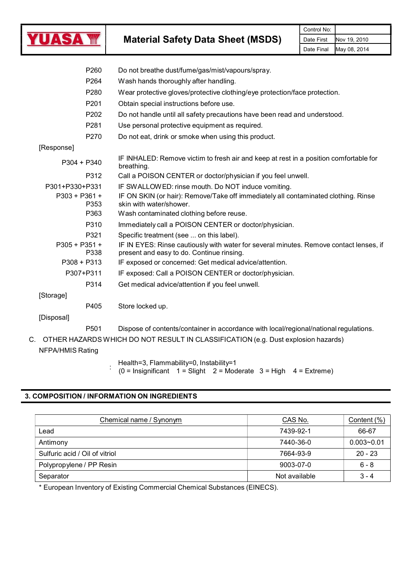

Material Safety Data Sheet (MSDS) Date First

| P260                                    | Do not breathe dust/fume/gas/mist/vapours/spray.                                                                                                                                |
|-----------------------------------------|---------------------------------------------------------------------------------------------------------------------------------------------------------------------------------|
| P264                                    | Wash hands thoroughly after handling.                                                                                                                                           |
| P280                                    | Wear protective gloves/protective clothing/eye protection/face protection.                                                                                                      |
| P <sub>201</sub>                        | Obtain special instructions before use.                                                                                                                                         |
| P202                                    | Do not handle until all safety precautions have been read and understood.                                                                                                       |
| P281                                    | Use personal protective equipment as required.                                                                                                                                  |
| P270                                    | Do not eat, drink or smoke when using this product.                                                                                                                             |
| [Response]                              |                                                                                                                                                                                 |
| $P304 + P340$                           | IF INHALED: Remove victim to fresh air and keep at rest in a position comfortable for<br>breathing.                                                                             |
| P312                                    | Call a POISON CENTER or doctor/physician if you feel unwell.                                                                                                                    |
| P301+P330+P331<br>P303 + P361 +<br>P353 | IF SWALLOWED: rinse mouth. Do NOT induce vomiting.<br>IF ON SKIN (or hair): Remove/Take off immediately all contaminated clothing. Rinse<br>skin with water/shower.             |
| P363                                    | Wash contaminated clothing before reuse.                                                                                                                                        |
| P310                                    | Immediately call a POISON CENTER or doctor/physician.                                                                                                                           |
| P321<br>P305 + P351 +<br>P338           | Specific treatment (see  on this label).<br>IF IN EYES: Rinse cautiously with water for several minutes. Remove contact lenses, if<br>present and easy to do. Continue rinsing. |
| $P308 + P313$                           | IF exposed or concerned: Get medical advice/attention.                                                                                                                          |
| P307+P311                               | IF exposed: Call a POISON CENTER or doctor/physician.                                                                                                                           |
| P314                                    | Get medical advice/attention if you feel unwell.                                                                                                                                |
| [Storage]                               |                                                                                                                                                                                 |
| P405                                    | Store locked up.                                                                                                                                                                |
| [Disposal]                              |                                                                                                                                                                                 |
| P <sub>501</sub>                        | Dispose of contents/container in accordance with local/regional/national regulations.                                                                                           |
|                                         | C. OTHER HAZARDS WHICH DO NOT RESULT IN CLASSIFICATION (e.g. Dust explosion hazards)                                                                                            |
| <b>NFPA/HMIS Rating</b>                 |                                                                                                                                                                                 |

Health=3, Flammability=0, Instability=1

: (0 = Insignificant 1 = Slight 2 = Moderate 3 = High 4 = Extreme)

## 3. COMPOSITION / INFORMATION ON INGREDIENTS

| Chemical name / Synonym        | CAS No.       | Content $(\%)$ |
|--------------------------------|---------------|----------------|
| Lead                           | 7439-92-1     | 66-67          |
| Antimony                       | 7440-36-0     | $0.003 - 0.01$ |
| Sulfuric acid / Oil of vitriol | 7664-93-9     | $20 - 23$      |
| Polypropylene / PP Resin       | 9003-07-0     | 6 - 8          |
| Separator                      | Not available | $3 - 4$        |

\* European Inventory of Existing Commercial Chemical Substances (EINECS).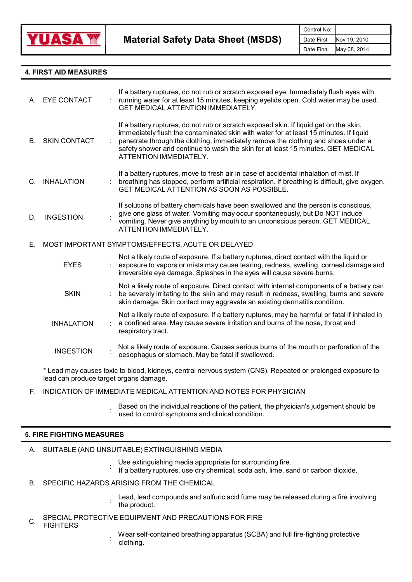

## 4. FIRST AID MEASURES

| А.          | <b>EYE CONTACT</b>                     | If a battery ruptures, do not rub or scratch exposed eye. Immediately flush eyes with<br>running water for at least 15 minutes, keeping eyelids open. Cold water may be used.<br>GET MEDICAL ATTENTION IMMEDIATELY.                                                                                                                                                               |
|-------------|----------------------------------------|-----------------------------------------------------------------------------------------------------------------------------------------------------------------------------------------------------------------------------------------------------------------------------------------------------------------------------------------------------------------------------------|
|             | <b>B. SKIN CONTACT</b>                 | If a battery ruptures, do not rub or scratch exposed skin. If liquid get on the skin,<br>immediately flush the contaminated skin with water for at least 15 minutes. If liquid<br>penetrate through the clothing, immediately remove the clothing and shoes under a<br>safety shower and continue to wash the skin for at least 15 minutes. GET MEDICAL<br>ATTENTION IMMEDIATELY. |
| $C_{\cdot}$ | <b>INHALATION</b>                      | If a battery ruptures, move to fresh air in case of accidental inhalation of mist. If<br>breathing has stopped, perform artificial respiration. If breathing is difficult, give oxygen.<br><b>GET MEDICAL ATTENTION AS SOON AS POSSIBLE.</b>                                                                                                                                      |
| D.          | <b>INGESTION</b>                       | If solutions of battery chemicals have been swallowed and the person is conscious,<br>give one glass of water. Vomiting may occur spontaneously, but Do NOT induce<br>vomiting. Never give anything by mouth to an unconscious person. GET MEDICAL<br>ATTENTION IMMEDIATELY.                                                                                                      |
| Е.          |                                        | MOST IMPORTANT SYMPTOMS/EFFECTS, ACUTE OR DELAYED                                                                                                                                                                                                                                                                                                                                 |
|             | <b>EYES</b>                            | Not a likely route of exposure. If a battery ruptures, direct contact with the liquid or<br>exposure to vapors or mists may cause tearing, redness, swelling, corneal damage and<br>irreversible eye damage. Splashes in the eyes will cause severe burns.                                                                                                                        |
|             | <b>SKIN</b>                            | Not a likely route of exposure. Direct contact with internal components of a battery can<br>be severely irritating to the skin and may result in redness, swelling, burns and severe<br>skin damage. Skin contact may aggravate an existing dermatitis condition.                                                                                                                 |
|             | <b>INHALATION</b>                      | Not a likely route of exposure. If a battery ruptures, may be harmful or fatal if inhaled in<br>a confined area. May cause severe irritation and burns of the nose, throat and<br>respiratory tract.                                                                                                                                                                              |
|             | <b>INGESTION</b>                       | Not a likely route of exposure. Causes serious burns of the mouth or perforation of the<br>oesophagus or stomach. May be fatal if swallowed.                                                                                                                                                                                                                                      |
|             | lead can produce target organs damage. | * Lead may causes toxic to blood, kidneys, central nervous system (CNS). Repeated or prolonged exposure to                                                                                                                                                                                                                                                                        |

- F. INDICATION OF IMMEDIATE MEDICAL ATTENTION AND NOTES FOR PHYSICIAN
	- : used to control symptoms and clinical condition. Based on the individual reactions of the patient, the physician's judgement should be

### 5. FIRE FIGHTING MEASURES

- A. SUITABLE (AND UNSUITABLE) EXTINGUISHING MEDIA
	- Use extinguishing media appropriate for surrounding fire.
	- : If a battery ruptures, use dry chemical, soda ash, lime, sand or carbon dioxide.
- B. SPECIFIC HAZARDS ARISING FROM THE CHEMICAL
	- Lead, lead compounds and sulfuric acid fume may be released during a fire involving the product.
- C. SPECIAL PROTECTIVE EQUIPMENT AND PRECAUTIONS FOR FIRE
- FIGHTERS
- : Wear self-contained breathing apparatus (SCBA) and full fire-fighting protective clothing.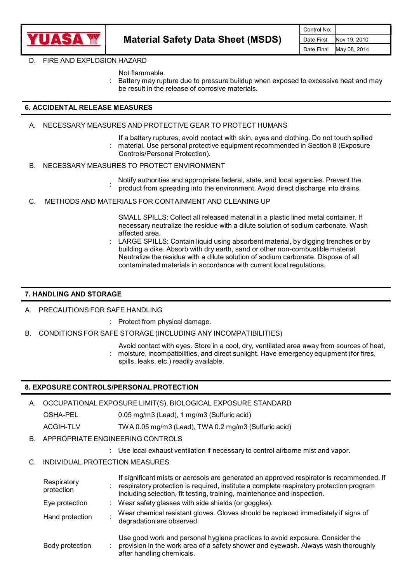

#### D. FIRE AND EXPLOSION HAZARD

- Not flammable.
- Battery may rupture due to pressure buildup when exposed to excessive heat and may be result in the release of corrosive materials.

## 6. ACCIDENTAL RELEASE MEASURES

- A. NECESSARY MEASURES AND PROTECTIVE GEAR TO PROTECT HUMANS
	- If a battery ruptures, avoid contact with skin, eyes and clothing. Do not touch spilled : material. Use personal protective equipment recommended in Section 8 (Exposure Controls/Personal Protection).
- B. NECESSARY MEASURES TO PROTECT ENVIRONMENT
- product from spreading into the environment. Avoid direct discharge into drains.<br>C. METHODS AND MATERIALS FOR CONTAINMENT AND CLEANING UP Notify authorities and appropriate federal, state, and local agencies. Prevent the
- - SMALL SPILLS: Collect all released material in a plastic lined metal container. If necessary neutralize the residue with a dilute solution of sodium carbonate. Wash affected area.
	- LARGE SPILLS: Contain liquid using absorbent material, by digging trenches or by building a dike. Absorb with dry earth, sand or other non-combustible material. Neutralize the residue with a dilute solution of sodium carbonate. Dispose of all contaminated materials in accordance with current local regulations.

#### 7. HANDLING AND STORAGE

A. PRECAUTIONS FOR SAFE HANDLING

- : Protect from physical damage.
- B. CONDITIONS FOR SAFE STORAGE (INCLUDING ANY INCOMPATIBILITIES)
	- Avoid contact with eyes. Store in a cool, dry, ventilated area away from sources of heat,
	- : moisture, incompatibilities, and direct sunlight. Have emergency equipment (for fires, spills, leaks, etc.) readily available.
	-

## 8. EXPOSURE CONTROLS/PERSONAL PROTECTION

- A. OCCUPATIONAL EXPOSURE LIMIT(S), BIOLOGICAL EXPOSURE STANDARD OSHA-PEL 0.05 mg/m3 (Lead), 1 mg/m3 (Sulfuric acid) ACGIH-TLV TWA 0.05 mg/m3 (Lead), TWA 0.2 mg/m3 (Sulfuric acid)
- B. APPROPRIATE ENGINEERING CONTROLS
- : Use local exhaust ventilation if necessary to control airborne mist and vapor. C. INDIVIDUAL PROTECTIO<sup>N</sup> MEASURES
- 

| Respiratory<br>protection | If significant mists or aerosols are generated an approved respirator is recommended. If<br>respiratory protection is required, institute a complete respiratory protection program<br>including selection, fit testing, training, maintenance and inspection. |
|---------------------------|----------------------------------------------------------------------------------------------------------------------------------------------------------------------------------------------------------------------------------------------------------------|
| Eye protection            | Wear safety glasses with side shields (or goggles).                                                                                                                                                                                                            |
| Hand protection           | Wear chemical resistant gloves. Gloves should be replaced immediately if signs of<br>degradation are observed.                                                                                                                                                 |
| Body protection           | Use good work and personal hygiene practices to avoid exposure. Consider the<br>provision in the work area of a safety shower and eyewash. Always wash thoroughly<br>after handling chemicals.                                                                 |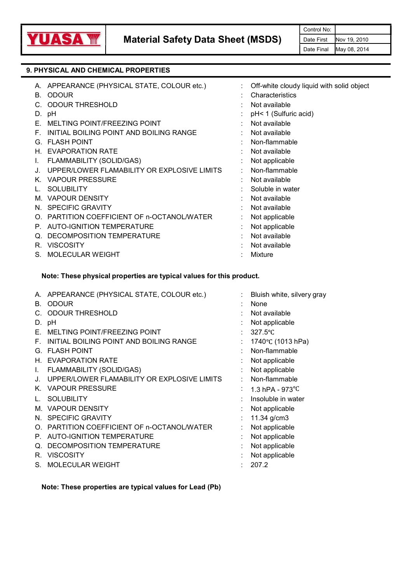

## 9. PHYSICAL AND CHEMICAL PROPERTIES

| А. | APPEARANCE (PHYSICAL STATE, COLOUR etc.)    | Off-white cloudy liquid with solid object |
|----|---------------------------------------------|-------------------------------------------|
| В. | <b>ODOUR</b>                                | Characteristics                           |
|    | <b>ODOUR THRESHOLD</b>                      | Not available                             |
| D. | рH                                          | pH< 1 (Sulfuric acid)                     |
| Е. | MELTING POINT/FREEZING POINT                | Not available                             |
| F. | INITIAL BOILING POINT AND BOILING RANGE     | Not available                             |
| G. | <b>FLASH POINT</b>                          | Non-flammable                             |
| Н. | <b>EVAPORATION RATE</b>                     | Not available                             |
| I. | FLAMMABILITY (SOLID/GAS)                    | Not applicable                            |
|    | UPPER/LOWER FLAMABILITY OR EXPLOSIVE LIMITS | Non-flammable                             |
| Κ. | <b>VAPOUR PRESSURE</b>                      | Not available                             |
|    | <b>SOLUBILITY</b>                           | Soluble in water                          |
|    | M. VAPOUR DENSITY                           | Not available                             |
|    | N. SPECIFIC GRAVITY                         | Not available                             |
| O. | PARTITION COEFFICIENT OF n-OCTANOL/WATER    | Not applicable                            |
| P. | <b>AUTO-IGNITION TEMPERATURE</b>            | Not applicable                            |
| Q. | DECOMPOSITION TEMPERATURE                   | Not available                             |
| R. | <b>VISCOSITY</b>                            | Not available                             |
|    | S. MOLECULAR WEIGHT                         | Mixture                                   |

### Note: These physical properties are typical values for this product.

| APPEARANCE (PHYSICAL STATE, COLOUR etc.) |                                                                                                                                                                                                                                                                | Bluish white, silvery gray |
|------------------------------------------|----------------------------------------------------------------------------------------------------------------------------------------------------------------------------------------------------------------------------------------------------------------|----------------------------|
| <b>ODOUR</b>                             |                                                                                                                                                                                                                                                                | None                       |
| <b>ODOUR THRESHOLD</b>                   |                                                                                                                                                                                                                                                                | Not available              |
|                                          |                                                                                                                                                                                                                                                                | Not applicable             |
| MELTING POINT/FREEZING POINT             |                                                                                                                                                                                                                                                                | $327.5^{\circ}$ C          |
| INITIAL BOILING POINT AND BOILING RANGE  |                                                                                                                                                                                                                                                                | 1740°C (1013 hPa)          |
|                                          |                                                                                                                                                                                                                                                                | Non-flammable              |
|                                          |                                                                                                                                                                                                                                                                | Not applicable             |
| FLAMMABILITY (SOLID/GAS)                 |                                                                                                                                                                                                                                                                | Not applicable             |
|                                          |                                                                                                                                                                                                                                                                | Non-flammable              |
|                                          |                                                                                                                                                                                                                                                                | 1.3 hPA - $973^{\circ}$ C  |
| <b>SOLUBILITY</b>                        |                                                                                                                                                                                                                                                                | Insoluble in water         |
| <b>VAPOUR DENSITY</b>                    |                                                                                                                                                                                                                                                                | Not applicable             |
|                                          |                                                                                                                                                                                                                                                                | 11.34 g/cm3                |
|                                          |                                                                                                                                                                                                                                                                | Not applicable             |
| <b>AUTO-IGNITION TEMPERATURE</b>         |                                                                                                                                                                                                                                                                | Not applicable             |
| DECOMPOSITION TEMPERATURE                |                                                                                                                                                                                                                                                                | Not applicable             |
| <b>VISCOSITY</b>                         |                                                                                                                                                                                                                                                                | Not applicable             |
|                                          |                                                                                                                                                                                                                                                                | 207.2                      |
|                                          | А.<br>В.<br>C.<br>D. pH<br><b>G. FLASH POINT</b><br>H. EVAPORATION RATE<br>J. UPPER/LOWER FLAMABILITY OR EXPLOSIVE LIMITS<br>K. VAPOUR PRESSURE<br>M.<br>N. SPECIFIC GRAVITY<br>O. PARTITION COEFFICIENT OF n-OCTANOL/WATER<br>P.<br>R.<br>S. MOLECULAR WEIGHT | ÷.                         |

Note: These properties are typical values for Lead (Pb)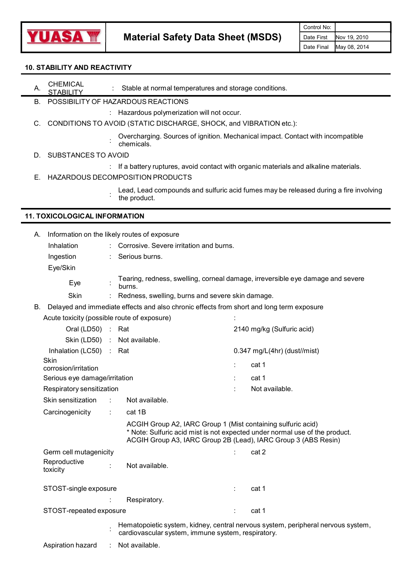

## 10. STABILITY AND REACTIVITY

Material Safety Data Sheet (MSDS) Date First Nov 19<br>
STABILITY AND REACTIVITY<br>
A. CHEMICAL : Stable at normal temperatures and storage conditions. CHEMICAL et permel temperature STABILITY : Stable at normal temperatures and storage conditions.<br>STABILITY

B. POSSIBILITY OF HAZARDOUS REACTIONS

: Hazardous polymerization will not occur.<br>C. CONDITIONS TO AVOID (STATIC DISCHARGE, SHOCK, and VIBRATION etc.):

: Overcharging. Sources of ignition. Mechanical impact. Contact with incompatible

- chemicals.<br>D. SUBSTANCES TO AVOID
- : If a battery ruptures, avoid contact with organic materials and alkaline materials. E. HAZARDOUS DECOMPOSITIO<sup>N</sup> PRODUCTS
- - Lead, Lead compounds and sulfuric acid fumes may be released during a fire involving the product.

## 11. TOXICOLOGICAL INFORMATION

| А. |                                                       |   | Information on the likely routes of exposure                                                                                                                                                                  |   |                                                                                  |
|----|-------------------------------------------------------|---|---------------------------------------------------------------------------------------------------------------------------------------------------------------------------------------------------------------|---|----------------------------------------------------------------------------------|
|    | Inhalation                                            |   | Corrosive. Severe irritation and burns.                                                                                                                                                                       |   |                                                                                  |
|    | Ingestion                                             |   | Serious burns.                                                                                                                                                                                                |   |                                                                                  |
|    | Eye/Skin                                              |   |                                                                                                                                                                                                               |   |                                                                                  |
|    | Eye                                                   |   | burns.                                                                                                                                                                                                        |   | Tearing, redness, swelling, corneal damage, irreversible eye damage and severe   |
|    | Skin                                                  |   | Redness, swelling, burns and severe skin damage.                                                                                                                                                              |   |                                                                                  |
|    |                                                       |   | B. Delayed and immediate effects and also chronic effects from short and long term exposure                                                                                                                   |   |                                                                                  |
|    | Acute toxicity (possible route of exposure)           |   |                                                                                                                                                                                                               |   |                                                                                  |
|    | Oral (LD50) : Rat                                     |   |                                                                                                                                                                                                               |   | 2140 mg/kg (Sulfuric acid)                                                       |
|    |                                                       |   | Skin (LD50) : Not available.                                                                                                                                                                                  |   |                                                                                  |
|    | Inhalation (LC50)                                     |   | : Rat                                                                                                                                                                                                         |   | $0.347$ mg/L(4hr) (dust//mist)                                                   |
|    | Skin                                                  |   |                                                                                                                                                                                                               |   | cat 1                                                                            |
|    | corrosion/irritation<br>Serious eye damage/irritation |   |                                                                                                                                                                                                               |   | cat 1                                                                            |
|    | Respiratory sensitization                             |   |                                                                                                                                                                                                               |   | Not available.                                                                   |
|    | Skin sensitization                                    | ÷ | Not available.                                                                                                                                                                                                |   |                                                                                  |
|    |                                                       |   |                                                                                                                                                                                                               |   |                                                                                  |
|    | Carcinogenicity                                       |   | cat 1B                                                                                                                                                                                                        |   |                                                                                  |
|    |                                                       |   | ACGIH Group A2, IARC Group 1 (Mist containing sulfuric acid)<br>* Note: Sulfuric acid mist is not expected under normal use of the product.<br>ACGIH Group A3, IARC Group 2B (Lead), IARC Group 3 (ABS Resin) |   |                                                                                  |
|    | Germ cell mutagenicity                                |   |                                                                                                                                                                                                               |   | cat 2                                                                            |
|    | Reproductive<br>toxicity                              |   | Not available.                                                                                                                                                                                                |   |                                                                                  |
|    | STOST-single exposure                                 |   |                                                                                                                                                                                                               |   | cat 1                                                                            |
|    |                                                       |   | Respiratory.                                                                                                                                                                                                  |   |                                                                                  |
|    | STOST-repeated exposure                               |   |                                                                                                                                                                                                               | ÷ | cat 1                                                                            |
|    |                                                       |   | cardiovascular system, immune system, respiratory.                                                                                                                                                            |   | Hematopoietic system, kidney, central nervous system, peripheral nervous system, |
|    | Aspiration hazard                                     |   | Not available.                                                                                                                                                                                                |   |                                                                                  |
|    |                                                       |   |                                                                                                                                                                                                               |   |                                                                                  |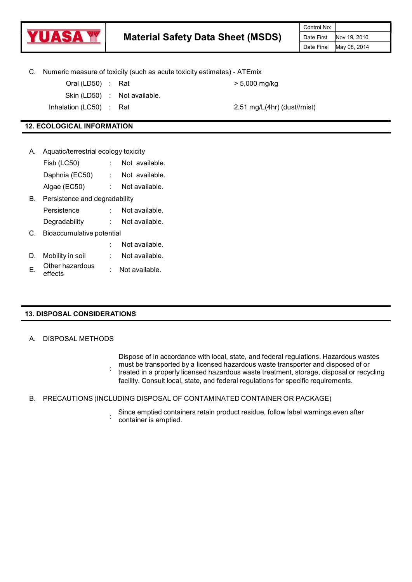

| C. |                                      | Numeric measure of toxicity (such as acute toxicity estimates) - ATEmix |                                              |
|----|--------------------------------------|-------------------------------------------------------------------------|----------------------------------------------|
|    | Oral (LD50) : Rat                    |                                                                         | $> 5,000$ mg/kg                              |
|    |                                      | Skin (LD50) : Not available.                                            |                                              |
|    | Inhalation (LC50) : Rat              |                                                                         | $2.51 \text{ mg/L}(4\text{hr})$ (dust//mist) |
|    |                                      |                                                                         |                                              |
|    | <b>12. ECOLOGICAL INFORMATION</b>    |                                                                         |                                              |
|    |                                      |                                                                         |                                              |
| Α. | Aquatic/terrestrial ecology toxicity |                                                                         |                                              |
|    | Fish (LC50) : Not available.         |                                                                         |                                              |
|    | Daphnia (EC50) : Not available.      |                                                                         |                                              |
|    | Algae (EC50) : Not available.        |                                                                         |                                              |
| В. | Persistence and degradability        |                                                                         |                                              |
|    | Persistence : Not available.         |                                                                         |                                              |
|    | Degradability : Not available.       |                                                                         |                                              |
| C. | Bioaccumulative potential            |                                                                         |                                              |
|    |                                      | Not available.                                                          |                                              |

- D. Mobility in soil : Not available.
- E. Other hazardous Other hazardous ... : Not available.

## 13. DISPOSAL CONSIDERATIONS

### A. DISPOSAL METHODS

Dispose of in accordance with local, state, and federal regulations. Hazardous wastes must be transported by a licensed hazardous waste transporter and disposed of or

- : treated in a properly licensed hazardous waste treatment, storage, disposal or recycling facility. Consult local, state, and federal regulations for specific requirements.
- B. PRECAUTIONS (INCLUDING DISPOSAL OF CONTAMINATED CONTAINER OR PACKAGE)
	- container is emptied. Since emptied containers retain product residue, follow label warnings even after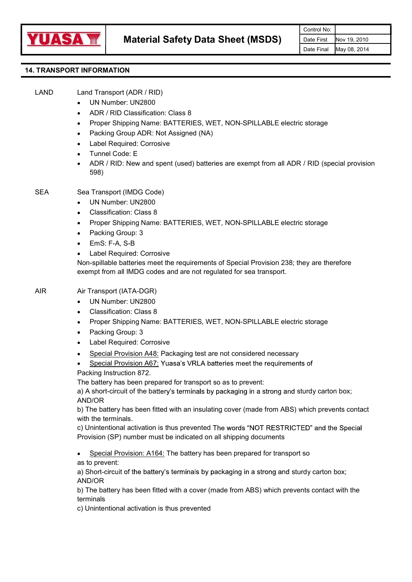

# 14. TRANSPORT INFORMATION

LAND Land Transport (ADR / RID)

- UN Number: UN2800
- ADR / RID Classification: Class 8
- Proper Shipping Name: BATTERIES, WET, NON-SPILLABLE electric storage
- Packing Group ADR: Not Assigned (NA)
- Label Required: Corrosive
- Tunnel Code: E
- ADR / RID: New and spent (used) batteries are exempt from all ADR / RID (special provision 598)
- SEA Sea Transport (IMDG Code)
	- UN Number: UN2800
	- Classification: Class 8
	- Proper Shipping Name: BATTERIES, WET, NON-SPILLABLE electric storage
	- Packing Group: 3
	- EmS: F-A, S-B
	- Label Required: Corrosive

Non-spillable batteries meet the requirements of Special Provision 238; they are therefore exempt from all IMDG codes and are not regulated for sea transport.

AIR Air Transport (IATA-DGR)

- UN Number: UN2800  $\bullet$
- Classification: Class 8
- Proper Shipping Name: BATTERIES, WET, NON-SPILLABLE electric storage
- Packing Group: 3
- Label Required: Corrosive
- Special Provision A48: Packaging test are not considered necessary
- Special Provision A67: Yuasa's VRLA batteries meet the requirements of
- Packing Instruction 872.

The battery has been prepared for transport so as to prevent:

a) A short-circuit of the battery's terminals by packaging in a strong and sturdy carton box; AND/OR

b) The battery has been fitted with an insulating cover (made from ABS) which prevents contact with the terminals.<br>c) Unintentional activation is thus prevented The words "NOT RESTRICTED" and the Special

Provision (SP) number must be indicated on all shipping documents

Special Provision: A164: The battery has been prepared for transport so as to prevent:

a) Short-circuit of the battery's terminals by packaging in a strong and sturdy carton box; AND/OR

b) The battery has been fitted with a cover (made from ABS) which prevents contact with the terminals

c) Unintentional activation is thus prevented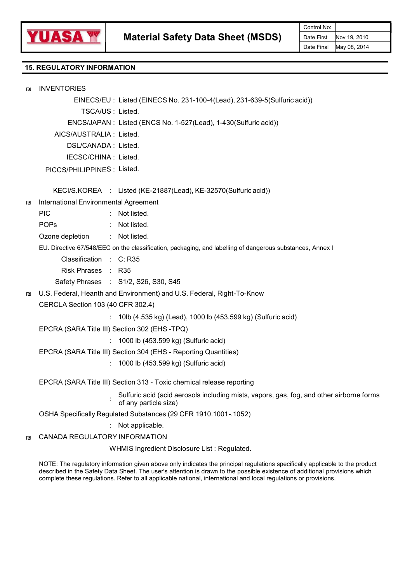

# 15. REGULATORY INFORMATION

|   |                                       |                                                                                                                   | Control No:              |                              |
|---|---------------------------------------|-------------------------------------------------------------------------------------------------------------------|--------------------------|------------------------------|
|   |                                       | <b>Material Safety Data Sheet (MSDS)</b>                                                                          | Date First<br>Date Final | Nov 19, 2010<br>May 08, 2014 |
|   | <b>15. REGULATORY INFORMATION</b>     |                                                                                                                   |                          |                              |
|   |                                       |                                                                                                                   |                          |                              |
| 凹 | <b>INVENTORIES</b>                    |                                                                                                                   |                          |                              |
|   |                                       | EINECS/EU: Listed (EINECS No. 231-100-4(Lead), 231-639-5(Sulfuric acid))                                          |                          |                              |
|   |                                       | TSCA/US: Listed.                                                                                                  |                          |                              |
|   |                                       | ENCS/JAPAN : Listed (ENCS No. 1-527(Lead), 1-430(Sulfuric acid))                                                  |                          |                              |
|   | AICS/AUSTRALIA : Listed.              |                                                                                                                   |                          |                              |
|   | DSL/CANADA: Listed.                   |                                                                                                                   |                          |                              |
|   | IECSC/CHINA : Listed.                 |                                                                                                                   |                          |                              |
|   | PICCS/PHILIPPINES: Listed.            |                                                                                                                   |                          |                              |
|   |                                       | KECI/S.KOREA : Listed (KE-21887(Lead), KE-32570(Sulfuric acid))                                                   |                          |                              |
| 凹 | International Environmental Agreement |                                                                                                                   |                          |                              |
|   | <b>PIC</b>                            | Not listed.                                                                                                       |                          |                              |
|   | <b>POPs</b>                           | Not listed.                                                                                                       |                          |                              |
|   | Ozone depletion                       | : Not listed.                                                                                                     |                          |                              |
|   |                                       | EU. Directive 67/548/EEC on the classification, packaging, and labelling of dangerous substances, Annex I         |                          |                              |
|   | Classification : C; R35               |                                                                                                                   |                          |                              |
|   | Risk Phrases : R35                    |                                                                                                                   |                          |                              |
|   |                                       | Safety Phrases : S1/2, S26, S30, S45                                                                              |                          |                              |
| 凹 |                                       | U.S. Federal, Heanth and Environment) and U.S. Federal, Right-To-Know                                             |                          |                              |
|   | CERCLA Section 103 (40 CFR 302.4)     |                                                                                                                   |                          |                              |
|   |                                       | : 10lb (4.535 kg) (Lead), 1000 lb (453.599 kg) (Sulfuric acid)                                                    |                          |                              |
|   |                                       | EPCRA (SARA Title III) Section 302 (EHS-TPQ)                                                                      |                          |                              |
|   |                                       | : 1000 lb (453.599 kg) (Sulfuric acid)                                                                            |                          |                              |
|   |                                       | EPCRA (SARA Title III) Section 304 (EHS - Reporting Quantities)                                                   |                          |                              |
|   |                                       | : 1000 lb (453.599 kg) (Sulfuric acid)                                                                            |                          |                              |
|   |                                       | EPCRA (SARA Title III) Section 313 - Toxic chemical release reporting                                             |                          |                              |
|   |                                       | Sulfuric acid (acid aerosols including mists, vapors, gas, fog, and other airborne forms<br>of any particle size) |                          |                              |
|   |                                       | OSHA Specifically Regulated Substances (29 CFR 1910.1001-.1052)                                                   |                          |                              |
|   |                                       | : Not applicable.                                                                                                 |                          |                              |
| 凹 | CANADA REGULATORY INFORMATION         |                                                                                                                   |                          |                              |
|   |                                       | WHMIS Ingredient Disclosure List: Regulated.                                                                      |                          |                              |
|   |                                       |                                                                                                                   |                          |                              |

NOTE: The regulatory information given above only indicates the principal regulations specifically applicable to the product described in the Safety Data Sheet. The user's attention is drawn to the possible existence of additional provisions which complete these regulations. Refer to all applicable national, international and local regulations or provisions.